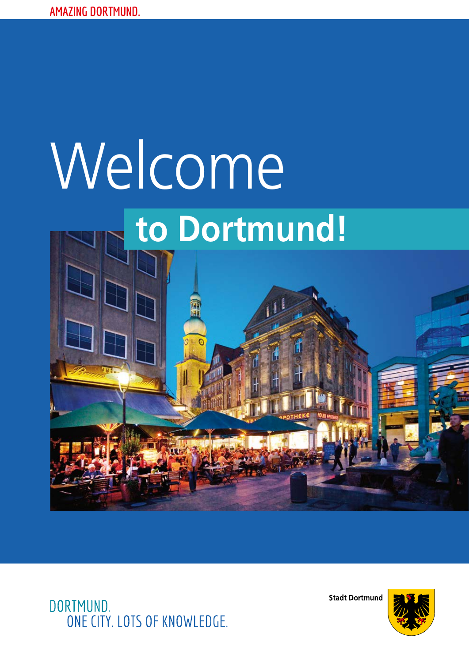# **to Dortmund!** Welcome

DORTMUND. ONE CITY. LOTS OF KNOWLEDGE. **Stadt Dortmund** 

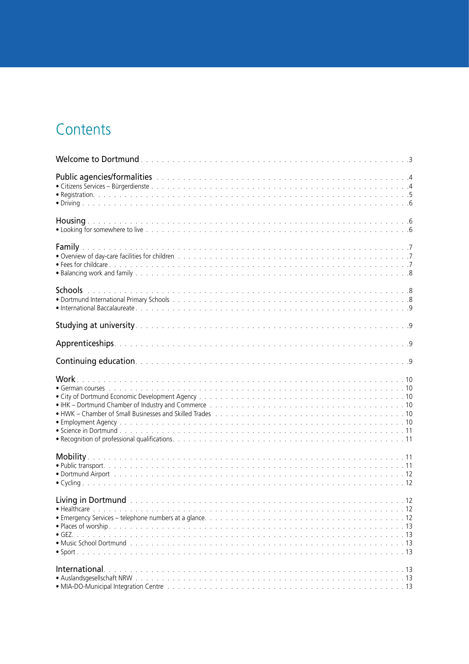# **Contents**

| Public agencies/formalities with the contract of the contract of the contract of the contract of the contract of the contract of the contract of the contract of the contract of the contract of the contract of the contract |  |
|-------------------------------------------------------------------------------------------------------------------------------------------------------------------------------------------------------------------------------|--|
|                                                                                                                                                                                                                               |  |
|                                                                                                                                                                                                                               |  |
|                                                                                                                                                                                                                               |  |
|                                                                                                                                                                                                                               |  |
|                                                                                                                                                                                                                               |  |
|                                                                                                                                                                                                                               |  |
|                                                                                                                                                                                                                               |  |
|                                                                                                                                                                                                                               |  |
|                                                                                                                                                                                                                               |  |
| International.                                                                                                                                                                                                                |  |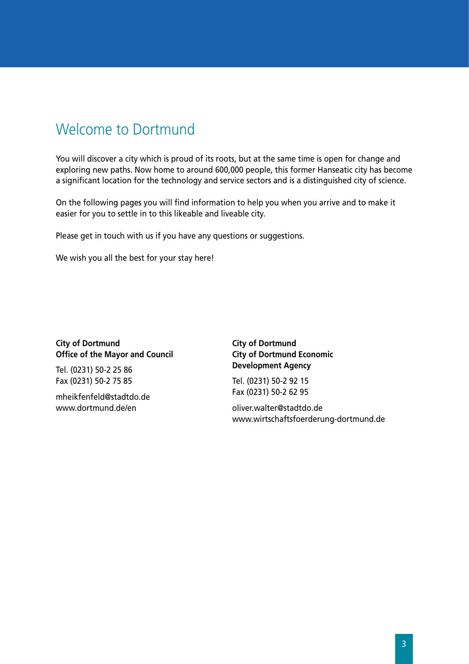## <span id="page-2-0"></span>Welcome to Dortmund

You will discover a city which is proud of its roots, but at the same time is open for change and exploring new paths. Now home to around 600,000 people, this former Hanseatic city has become a significant location for the technology and service sectors and is a distinguished city of science.

On the following pages you will find information to help you when you arrive and to make it easier for you to settle in to this likeable and liveable city.

Please get in touch with us if you have any questions or suggestions.

We wish you all the best for your stay here!

#### **City of Dortmund Office of the Mayor and Council**

Tel. (0231) 50-2 25 86 Fax (0231) 50-2 75 85

mheikfenfeld@stadtdo.de www.dortmund.de/en

**City of Dortmund City of Dortmund Economic Development Agency**

Tel. (0231) 50-2 92 15 Fax (0231) 50-2 62 95

oliver.walter@stadtdo.de www.wirtschaftsfoerderung-dortmund.de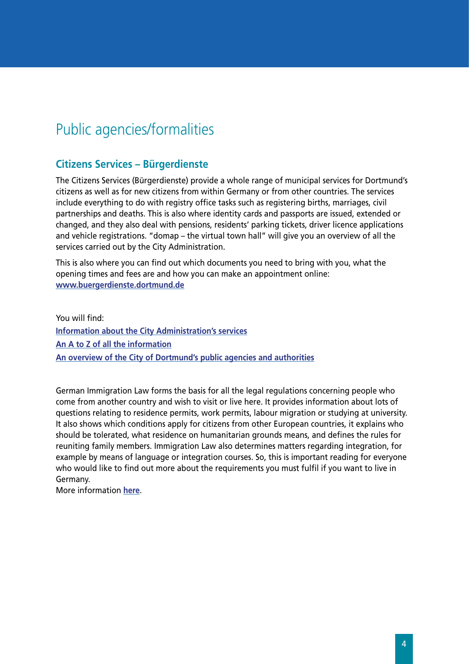## <span id="page-3-0"></span>Public agencies/formalities

#### **Citizens Services – Bürgerdienste**

The Citizens Services (Bürgerdienste) provide a whole range of municipal services for Dortmund's citizens as well as for new citizens from within Germany or from other countries. The services include everything to do with registry office tasks such as registering births, marriages, civil partnerships and deaths. This is also where identity cards and passports are issued, extended or changed, and they also deal with pensions, residents' parking tickets, driver licence applications and vehicle registrations. "domap – the virtual town hall" will give you an overview of all the services carried out by the City Administration.

This is also where you can find out which documents you need to bring with you, what the opening times and fees are and how you can make an appointment online: **[www.buergerdienste.dortmund.de](http://www.dortmund.de/de/rathaus_und_buergerservice/buergerdienste/startseite_buergerdienste/index.html)**

You will find: **[Information about the City Administration's services](https://www.domap.de/wps/portal/dortmund/!ut/p/c5/04_SB8K8xLLM9MSSzPy8xBz9CP0os3gLNydfCydDRwN_ozADA88wH38Xc2MDI38Dc_1wkA68KgqysxUBLVOBjg!!/) [An A to Z of all the information](https://www.domap.de/wps/portal/dortmund/!ut/p/c5/04_SB8K8xLLM9MSSzPy8xBz9CP0os3gLNydfCydDRwN_ozADA88wH38Xc2MDI38XE_1wkA68KgqysxUBPIWUcw!!/) [An overview of the City of Dortmund's public agencies and authorities](https://www.domap.de/wps/portal/dortmund/!ut/p/c5/04_SB8K8xLLM9MSSzPy8xBz9CP0os3gLNydfCydDRwN_ozADA88wH38Xc2MDI38DI_1wkA68KgqysxUBBhOJoQ!!/)**

German Immigration Law forms the basis for all the legal regulations concerning people who come from another country and wish to visit or live here. It provides information about lots of questions relating to residence permits, work permits, labour migration or studying at university. It also shows which conditions apply for citizens from other European countries, it explains who should be tolerated, what residence on humanitarian grounds means, and defines the rules for reuniting family members. Immigration Law also determines matters regarding integration, for example by means of language or integration courses. So, this is important reading for everyone who would like to find out more about the requirements you must fulfil if you want to live in Germany.

More information **[here](http://www.dortmund.de/media/p/oednungsamt/ordnungsamt/zuwanderungsgesetz.pdf)**.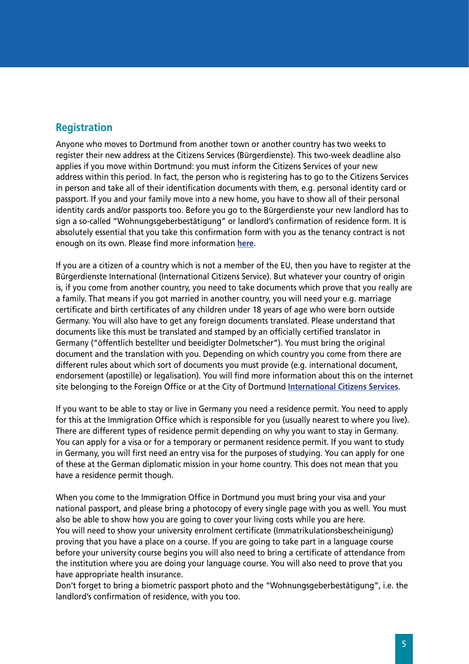#### <span id="page-4-0"></span>**Registration**

Anyone who moves to Dortmund from another town or another country has two weeks to register their new address at the Citizens Services (Bürgerdienste). This two-week deadline also applies if you move within Dortmund: you must inform the Citizens Services of your new address within this period. In fact, the person who is registering has to go to the Citizens Services in person and take all of their identification documents with them, e.g. personal identity card or passport. If you and your family move into a new home, you have to show all of their personal identity cards and/or passports too. Before you go to the Bürgerdienste your new landlord has to sign a so-called "Wohnungsgeberbestätigung" or landlord's confirmation of residence form. It is absolutely essential that you take this confirmation form with you as the tenancy contract is not enough on its own. Please find more information **[here](https://www.domap.de/wps/portal/dortmund/produktanzeige?p_id=anmeldungeinerwohnun0)**.

If you are a citizen of a country which is not a member of the EU, then you have to register at the Bürgerdienste International (International Citizens Service). But whatever your country of origin is, if you come from another country, you need to take documents which prove that you really are a family. That means if you got married in another country, you will need your e.g. marriage certificate and birth certificates of any children under 18 years of age who were born outside Germany. You will also have to get any foreign documents translated. Please understand that documents like this must be translated and stamped by an officially certified translator in Germany ("öffentlich bestellter und beeidigter Dolmetscher"). You must bring the original document and the translation with you. Depending on which country you come from there are different rules about which sort of documents you must provide (e.g. international document, endorsement (apostille) or legalisation). You will find more information about this on the internet site belonging to the Foreign Office or at the City of Dortmund **[International](http://www.dortmund.de/de/leben_in_dortmund/sicherheit_und_recht/ordnungsamt/auslaenderwesen/buergerdienste_international/index.html) Citizens Services**.

If you want to be able to stay or live in Germany you need a residence permit. You need to apply for this at the Immigration Office which is responsible for you (usually nearest to where you live). There are different types of residence permit depending on why you want to stay in Germany. You can apply for a visa or for a temporary or permanent residence permit. If you want to study in Germany, you will first need an entry visa for the purposes of studying. You can apply for one of these at the German diplomatic mission in your home country. This does not mean that you have a residence permit though.

When you come to the Immigration Office in Dortmund you must bring your visa and your national passport, and please bring a photocopy of every single page with you as well. You must also be able to show how you are going to cover your living costs while you are here. You will need to show your university enrolment certificate (Immatrikulationsbescheinigung) proving that you have a place on a course. If you are going to take part in a language course before your university course begins you will also need to bring a certificate of attendance from the institution where you are doing your language course. You will also need to prove that you have appropriate health insurance.

Don't forget to bring a biometric passport photo and the "Wohnungsgeberbestätigung", i.e. the landlord's confirmation of residence, with you too.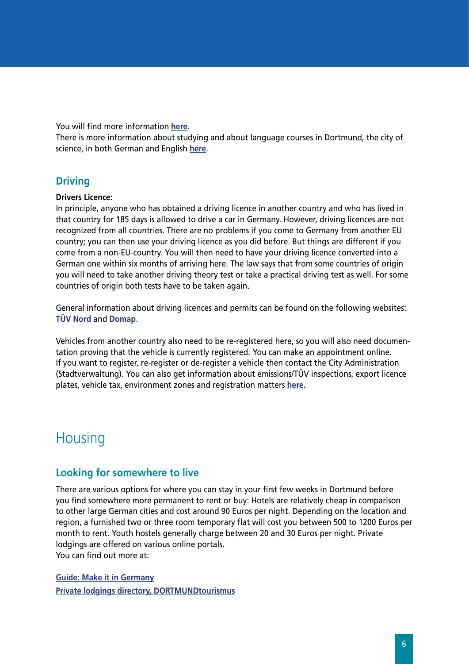<span id="page-5-0"></span>You will find more information **[here](http://www.dortmund.de/media/p/oednungsamt/ordnungsamt/aufenthaltstitel/Antrag_auf_Erteilung_eines_Aufenthaltstitels_-_Deutsch_-_English_-_Franais_-_Italiano.pdf)**.

There is more information about studying and about language courses in Dortmund, the city of science, in both German and English **[here](http://www.dortmund.de/en/economy_and_science/research_science/studying/studying_in_dortmund.html)**.

#### **Driving**

#### **Drivers Licence:**

In principle, anyone who has obtained a driving licence in another country and who has lived in that country for 185 days is allowed to drive a car in Germany. However, driving licences are not recognized from all countries. There are no problems if you come to Germany from another EU country; you can then use your driving licence as you did before. But things are different if you come from a non-EU-country. You will then need to have your driving licence converted into a German one within six months of arriving here. The law says that from some countries of origin you will need to take another driving theory test or take a practical driving test as well. For some countries of origin both tests have to be taken again.

General information about driving licences and permits can be found on the following websites: **[TÜV Nord](http://www.tuev-nord.de/de/allgemeine-infos/auslaendische-fuehrerscheine-8742.htm)** and **[Domap](https://www.domap.de/wps/portal/dortmund/lebenslagenanzeige?p_id=19-06)**.

Vehicles from another country also need to be re-registered here, so you will also need documentation proving that the vehicle is currently registered. You can make an appointment online. If you want to register, re-register or de-register a vehicle then contact the City Administration (Stadtverwaltung). You can also get information about emissions/TÜV inspections, export licence plates, vehicle tax, environment zones and registration matters **[here](https://www.domap.de/wps/portal/dortmund/lebenslagenanzeige?p_id=19-01).**

## **Housing**

#### **Looking for somewhere to live**

There are various options for where you can stay in your first few weeks in Dortmund before you find somewhere more permanent to rent or buy: Hotels are relatively cheap in comparison to other large German cities and cost around 90 Euros per night. Depending on the location and region, a furnished two or three room temporary flat will cost you between 500 to 1200 Euros per month to rent. Youth hostels generally charge between 20 and 30 Euros per night. Private lodgings are offered on various online portals. You can find out more at:

**Guide: Make it in Germany [Private lodgings directory, DORTMUNDtourismus](http://www.dortmund-tourismus.de/suchen-buchen/unterkuenfte/privatvermieter.html)**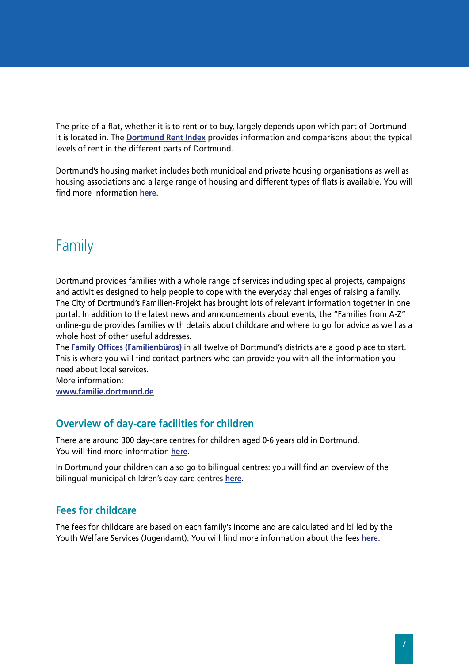<span id="page-6-0"></span>The price of a flat, whether it is to rent or to buy, largely depends upon which part of Dortmund it is located in. The **[Dortmund Rent Index](http://www.dortmund.de/de/leben_in_dortmund/planen_bauen_wohnen/wohnungswesen/mietspiegel/index.html)** provides information and comparisons about the typical levels of rent in the different parts of Dortmund.

Dortmund's housing market includes both municipal and private housing organisations as well as housing associations and a large range of housing and different types of flats is available. You will find more information **[here](http://www.dortmund.de/de/leben_in_dortmund/planen_bauen_wohnen/wohnungswesen/links_afw/index.html)**.

## Family

Dortmund provides families with a whole range of services including special projects, campaigns and activities designed to help people to cope with the everyday challenges of raising a family. The City of Dortmund's Familien-Projekt has brought lots of relevant information together in one portal. In addition to the latest news and announcements about events, the "Families from A-Z" online-guide provides families with details about childcare and where to go for advice as well as a whole host of other useful addresses.

The **[Family Offices \(Familienbüros](http://www.dortmund.de/de/leben_in_dortmund/familie_und_soziales/familienportal/familienbueros/index.html))** in all twelve of Dortmund's districts are a good place to start. This is where you will find contact partners who can provide you with all the information you need about local services.

More information: **[www.familie.dortmund.de](http://www.familie.dortmund.de)**

## **Overview of day-care facilities for children**

There are around 300 day-care centres for children aged 0-6 years old in Dortmund. You will find more information **[here](http://www.dortmund.de/de/leben_in_dortmund/bildungwissenschaft/dienstleistungszentrum_bildung/kindertagesstaette/index.html)**.

In Dortmund your children can also go to bilingual centres: you will find an overview of the bilingual municipal children's day-care centres **[here](http://www.dortmund.de/de/leben_in_dortmund/familie_und_soziales/fabido/uebersicht_tek/angebote_tek/angebote_detail_219358.html)**.

## **Fees for childcare**

The fees for childcare are based on each family's income and are calculated and billed by the Youth Welfare Services (Jugendamt). You will find more information about the fees **[here](http://www.dortmund.de/media/p/jugendamt_2/downloads_13/betreuung/Elternbeitraegen_-_Beitragstabelle_2015_2016.pdf)**.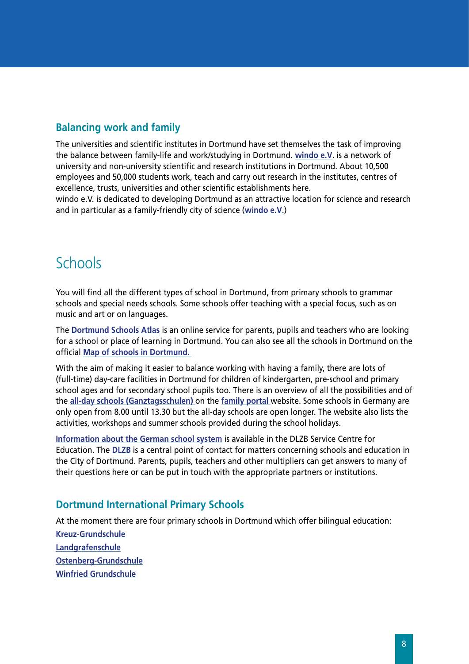## <span id="page-7-0"></span>**Balancing work and family**

The universities and scientific institutes in Dortmund have set themselves the task of improving the balance between family-life and work/studying in Dortmund. **[windo e.V](http://www.windo.de)**. is a network of university and non-university scientific and research institutions in Dortmund. About 10,500 employees and 50,000 students work, teach and carry out research in the institutes, centres of excellence, trusts, universities and other scientific establishments here.

windo e.V. is dedicated to developing Dortmund as an attractive location for science and research and in particular as a family-friendly city of science (**[windo e.V](http://www.windo.de)**.)

## **Schools**

You will find all the different types of school in Dortmund, from primary schools to grammar schools and special needs schools. Some schools offer teaching with a special focus, such as on music and art or on languages.

The **[Dortmund Schools Atlas](https://www.domap.de/wps/portal/dortmund/schulatlas)** is an online service for parents, pupils and teachers who are looking for a school or place of learning in Dortmund. You can also see all the schools in Dortmund on the official **[Map of schools in Dortmund.](http://geoweb1.digistadtdo.de/OWSServiceProxy/client/schulen.jsp)** 

With the aim of making it easier to balance working with having a family, there are lots of (full-time) day-care facilities in Dortmund for children of kindergarten, pre-school and primary school ages and for secondary school pupils too. There is an overview of all the possibilities and of the **[all-day schools \(Ganztagsschulen\)](http://www.dortmund.de/de/leben_in_dortmund/familie_und_soziales/familienportal/ganztagsangebote/index.html)** on the **[family portal](http://www.dortmund.de/de/leben_in_dortmund/familie_und_soziales/familienportal/startseite_familie/index.html)** website. Some schools in Germany are only open from 8.00 until 13.30 but the all-day schools are open longer. The website also lists the activities, workshops and summer schools provided during the school holidays.

**[Information about the German school system](http://www.dortmund.de/de/leben_in_dortmund/bildungwissenschaft/dienstleistungszentrum_bildung/schulformen_gesamt/index.html)** is available in the DLZB Service Centre for Education. The **[DLZB](http://www.dortmund.de/de/leben_in_dortmund/bildungwissenschaft/dienstleistungszentrum_bildung/start_dlzb/index.html)** is a central point of contact for matters concerning schools and education in the City of Dortmund. Parents, pupils, teachers and other multipliers can get answers to many of their questions here or can be put in touch with the appropriate partners or institutions.

#### **Dortmund International Primary Schools**

At the moment there are four primary schools in Dortmund which offer bilingual education: **[Kreuz-Grundschule](http://www.kreuz-grundschule.de) [Landgrafenschule](http://www.Landgrafenschule.de) [Ostenberg-Grundschule](http://www.ostenberg-grundschule.de) [Winfried Grundschule](http://winfried-grundschule.de)**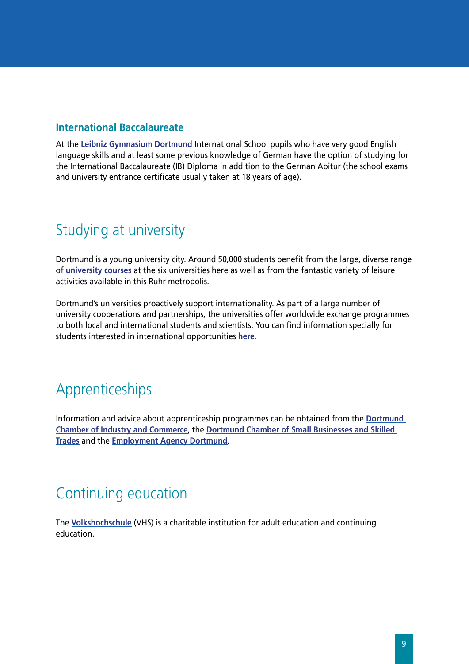#### <span id="page-8-0"></span>**International Baccalaureate**

At the **[Leibniz Gymnasium Dortmund](http://www.leibniz-gym.de)** International School pupils who have very good English language skills and at least some previous knowledge of German have the option of studying for the International Baccalaureate (IB) Diploma in addition to the German Abitur (the school exams and university entrance certificate usually taken at 18 years of age).

## Studying at university

Dortmund is a young university city. Around 50,000 students benefit from the large, diverse range of **[university courses](http://www.studium.dortmund.de)** at the six universities here as well as from the fantastic variety of leisure activities available in this Ruhr metropolis.

Dortmund's universities proactively support internationality. As part of a large number of university cooperations and partnerships, the universities offer worldwide exchange programmes to both local and international students and scientists. You can find information specially for students interested in international opportunities **[here](http://www.dortmund.de/de/leben_in_dortmund/bildungwissenschaft/studienorientierung/international/index.html).**

# Apprenticeships

Information and advice about apprenticeship programmes can be obtained from the **[Dortmund](http://www.dortmund.ihk24.de/bildung/ausbildung)  [Chamber of Industry and Commerce](http://www.dortmund.ihk24.de/bildung/ausbildung)**, the **[Dortmund Chamber of Small Businesses and Skilled](http://www.hwk-do.de/index.php?id=berufsausbildung)  [Trades](http://www.hwk-do.de/index.php?id=berufsausbildung)** and the **[Employment Agency Dortmund](http://www.arbeitsagentur.de/web/content/DE/dienststellen/rdnrw/dortmund/Agentur/Institutionen/Berufsinformationszentrum/index.htm)**.

## Continuing education

The **[Volkshochschule](http://www.vhs.dortmund.de)** (VHS) is a charitable institution for adult education and continuing education.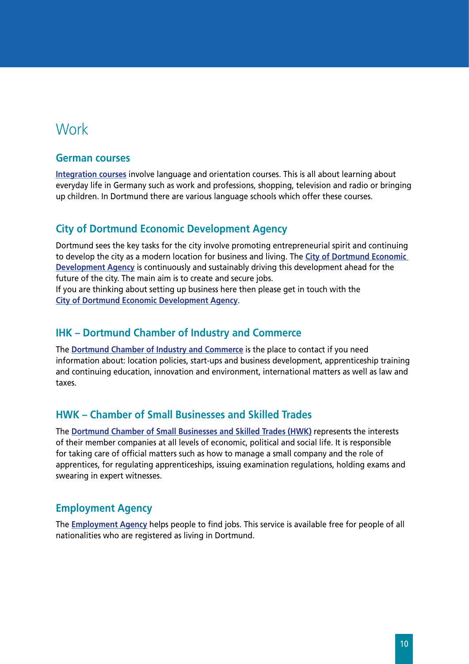## <span id="page-9-0"></span>**Work**

#### **German courses**

**[Integration courses](http://www.integrationskurse-do.de/)** involve language and orientation courses. This is all about learning about everyday life in Germany such as work and professions, shopping, television and radio or bringing up children. In Dortmund there are various language schools which offer these courses.

## **City of Dortmund Economic Development Agency**

Dortmund sees the key tasks for the city involve promoting entrepreneurial spirit and continuing to develop the city as a modern location for business and living. The **[City of Dortmund Economic](http://www.wirtschaftsfoerderung-dortmund.de/)  [Development Agency](http://www.wirtschaftsfoerderung-dortmund.de/)** is continuously and sustainably driving this development ahead for the future of the city. The main aim is to create and secure jobs.

If you are thinking about setting up business here then please get in touch with the **[City of Dortmund Economic Development Agency](http://www.wirtschaftsfoerderung-dortmund.de/gruendung/startercenter-nrw/)**.

#### **IHK – Dortmund Chamber of Industry and Commerce**

The **[Dortmund Chamber of Industry and Commerce](http://www.dortmund.ihk24.de/)** is the place to contact if you need information about: location policies, start-ups and business development, apprenticeship training and continuing education, innovation and environment, international matters as well as law and taxes.

## **HWK – Chamber of Small Businesses and Skilled Trades**

The **[Dortmund Chamber of Small Businesses and Skilled Trades \(HWK\)](http://www.hwk-do.de/)** represents the interests of their member companies at all levels of economic, political and social life. It is responsible for taking care of official matters such as how to manage a small company and the role of apprentices, for regulating apprenticeships, issuing examination regulations, holding exams and swearing in expert witnesses.

#### **Employment Agency**

The **[Employment Agency](http://www.arbeitsagentur.de/web/content/DE/dienststellen/rdnrw/dortmund/Agentur/BuergerinnenundBuerger/index.htm)** helps people to find jobs. This service is available free for people of all nationalities who are registered as living in Dortmund.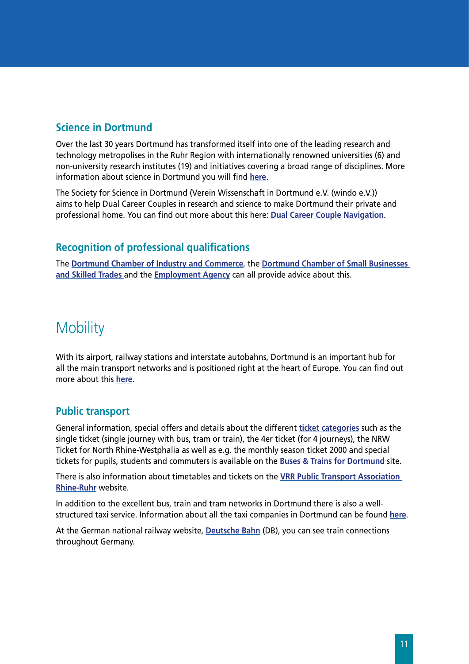#### <span id="page-10-0"></span>**Science in Dortmund**

Over the last 30 years Dortmund has transformed itself into one of the leading research and technology metropolises in the Ruhr Region with internationally renowned universities (6) and non-university research institutes (19) and initiatives covering a broad range of disciplines. More information about science in Dortmund you will find **[here](http://www.wissenschaft.dortmund.de/)**.

The Society for Science in Dortmund (Verein Wissenschaft in Dortmund e.V. (windo e.V.)) aims to help Dual Career Couples in research and science to make Dortmund their private and professional home. You can find out more about this here: **[Dual Career Couple Navigation](http://www.windo.de/index.php?id=36)**.

## **Recognition of professional qualifications**

The **[Dortmund Chamber of Industry and Commerce](http://www.dortmund.ihk24.de/bildung/ausbildung/Anerkennung_von_auslaendischen_Berufsabschluessen/305360)**, the **[Dortmund Chamber of Small Businesses](http://www.hwk-do.de/index.php?id=1076)  [and Skilled Trades](http://www.hwk-do.de/index.php?id=1076)** and the **[Employment Agency](http://www.arbeitsagentur.de/web/wcm/idc/groups/public/documents/webdatei/mdaw/mjez/~edisp/l6019022dstbai615971.pdf?_ba.sid=L6019022DSTBAI615974)** can all provide advice about this.

## **Mobility**

With its airport, railway stations and interstate autobahns, Dortmund is an important hub for all the main transport networks and is positioned right at the heart of Europe. You can find out more about this **[here](http://www.verkehr.dortmund.de)**.

#### **Public transport**

General information, special offers and details about the different **[ticket categories](http://www.bus-und-bahn.de/31030.html)** such as the single ticket (single journey with bus, tram or train), the 4er ticket (for 4 journeys), the NRW Ticket for North Rhine-Westphalia as well as e.g. the monthly season ticket 2000 and special tickets for pupils, students and commuters is available on the **[Buses & Trains for Dortmund](http://www.bus-und-bahn.de)** site.

There is also information about timetables and tickets on the **[VRR Public Transport Association](http://efa.vrr.de/vrrstd/XSLT_TRIP_REQUEST2?language=de&itdLPxx_transpCompany=vrr)  [Rhine-Ruhr](http://efa.vrr.de/vrrstd/XSLT_TRIP_REQUEST2?language=de&itdLPxx_transpCompany=vrr)** website.

In addition to the excellent bus, train and tram networks in Dortmund there is also a wellstructured taxi service. Information about all the taxi companies in Dortmund can be found **[here](http://www.gelbeseiten.de/taxi/dortmund)**.

At the German national railway website, **[Deutsche Bahn](http://www.bahn.de)** (DB), you can see train connections throughout Germany.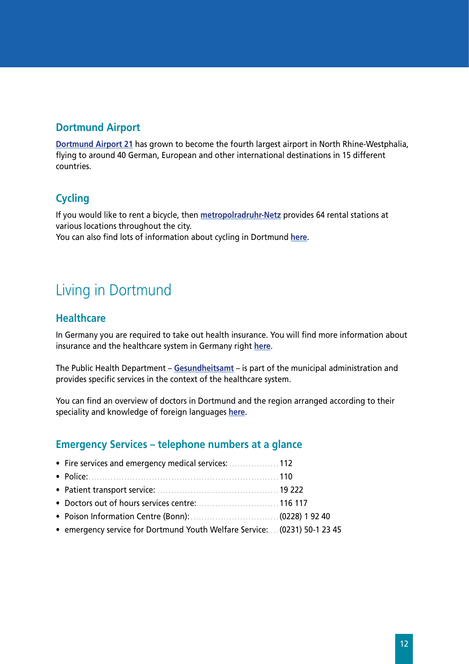## <span id="page-11-0"></span>**Dortmund Airport**

**[Dortmund Airport 21](http://www.dortmund-airport.de)** has grown to become the fourth largest airport in North Rhine-Westphalia, flying to around 40 German, European and other international destinations in 15 different countries.

#### **Cycling**

If you would like to rent a bicycle, then **[metropolradruhr-Netz](http://www.metropolradruhr.de)** provides 64 rental stations at various locations throughout the city.

You can also find lots of information about cycling in Dortmund **[here](http://www.dortmund.de/de/leben_in_dortmund/verkehr/radverkehr/index.html)**.

## Living in Dortmund

#### **Healthcare**

In Germany you are required to take out health insurance. You will find more information about insurance and the healthcare system in Germany right **[here](http://www.make-it-in-germany.com/de/fuer-fachkraefte/leben/gesundheit)**.

The Public Health Department – **[Gesundheitsamt](http://www.dortmund.de/de/leben_in_dortmund/gesundheit/gesundheitsamt/startseite_ga/index.html)** – is part of the municipal administration and provides specific services in the context of the healthcare system.

You can find an overview of doctors in Dortmund and the region arranged according to their speciality and knowledge of foreign languages **[here](http://www.kvwl.de/earzt/)**.

#### **Emergency Services – telephone numbers at a glance**

| • Fire services and emergency medical services:  112                      |  |
|---------------------------------------------------------------------------|--|
| • Police: 110                                                             |  |
|                                                                           |  |
| • Doctors out of hours services centre:  116 117                          |  |
|                                                                           |  |
| • emergency service for Dortmund Youth Welfare Service: (0231) 50-1 23 45 |  |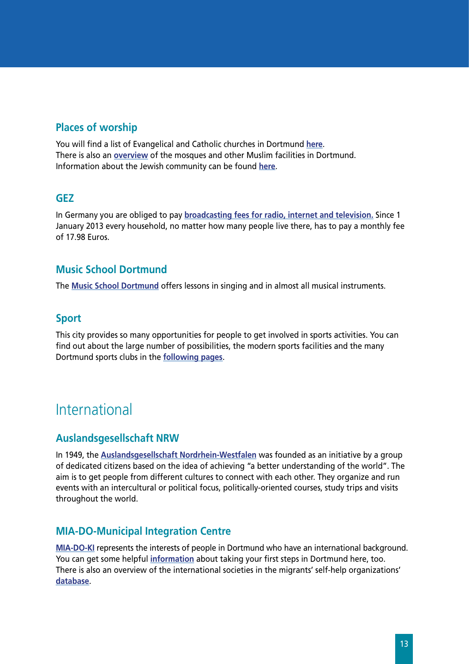#### <span id="page-12-0"></span>**Places of worship**

You will find a list of Evangelical and Catholic churches in Dortmund **[here](http://www.dortmund.de/de/leben_in_dortmund/familie_und_soziales/kircheundreligion/kirche.html)**. There is also an **[overview](http://www.moscheesuche.de/moschee/stadt/Dortmund/2827)** of the mosques and other Muslim facilities in Dortmund. Information about the Jewish community can be found **[her](http://www.jg-dortmund.de)e**.

#### **GEZ**

In Germany you are obliged to pay **[broadcasting fees](http://www.rundfunkbeitrag.de/) for radio, internet and television.** Since 1 January 2013 every household, no matter how many people live there, has to pay a monthly fee of 17.98 Euros.

#### **Music School Dortmund**

The **[Music School Dortmund](http://www.musikschule.dortmund.de)** offers lessons in singing and in almost all musical instruments.

#### **Sport**

This city provides so many opportunities for people to get involved in sports activities. You can find out about the large number of possibilities, the modern sports facilities and the many Dortmund sports clubs in the **[following pages](http://www.sport.dortmund.de)**.

## International

#### **Auslandsgesellschaft NRW**

In 1949, the **[Auslandsgesellschaft Nordrhein-Westfalen](http://www.agnrw.de/)** was founded as an initiative by a group of dedicated citizens based on the idea of achieving "a better understanding of the world". The aim is to get people from different cultures to connect with each other. They organize and run events with an intercultural or political focus, politically-oriented courses, study trips and visits throughout the world.

#### **MIA-DO-Municipal Integration Centre**

**[MIA-DO-KI](http://www.miadoki.dortmund.de/)** represents the interests of people in Dortmund who have an international background. You can get some helpful **[information](http://www.dortmund.de/de/leben_in_dortmund/internationales/miado/tipps_fuer_neuzuwanderer/erste_schritte/index.html)** about taking your first steps in Dortmund here, too. There is also an overview of the international societies in the migrants' self-help organizations' **[database](http://www.dortmund.de/de/leben_in_dortmund/internationales/miado/migrantenselbstorganisationen/msos_2/mso_suche_2/index.jsp)**.